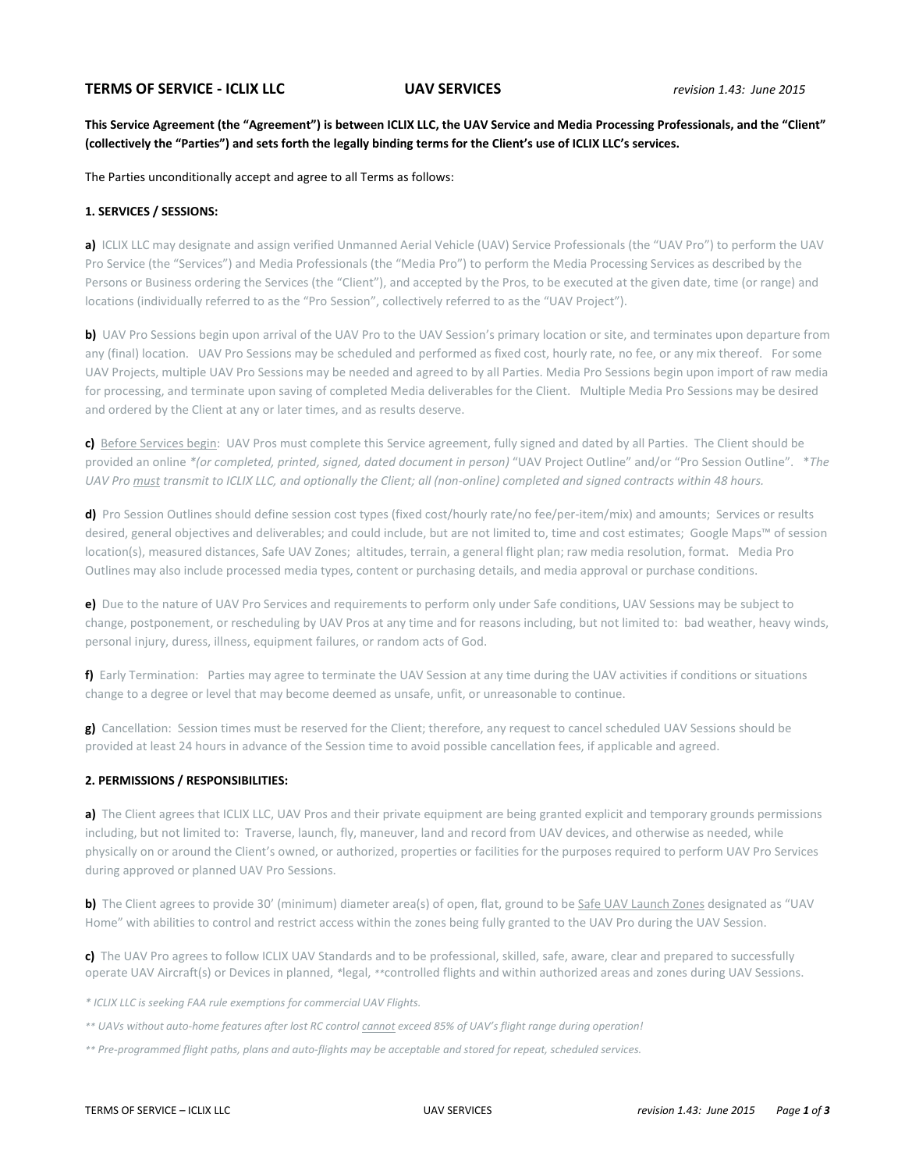# **TERMS OF SERVICE - ICLIX LLC UAV SERVICES** *revision 1.43: June 2015*

# **This Service Agreement (the "Agreement") is between ICLIX LLC, the UAV Service and Media Processing Professionals, and the "Client" (collectively the "Parties") and sets forth the legally binding terms for the Client's use of ICLIX LLC's services.**

The Parties unconditionally accept and agree to all Terms as follows:

#### **1. SERVICES / SESSIONS:**

**a)** ICLIX LLC may designate and assign verified Unmanned Aerial Vehicle (UAV) Service Professionals (the "UAV Pro") to perform the UAV Pro Service (the "Services") and Media Professionals (the "Media Pro") to perform the Media Processing Services as described by the Persons or Business ordering the Services (the "Client"), and accepted by the Pros, to be executed at the given date, time (or range) and locations (individually referred to as the "Pro Session", collectively referred to as the "UAV Project").

**b)** UAV Pro Sessions begin upon arrival of the UAV Pro to the UAV Session's primary location or site, and terminates upon departure from any (final) location. UAV Pro Sessions may be scheduled and performed as fixed cost, hourly rate, no fee, or any mix thereof. For some UAV Projects, multiple UAV Pro Sessions may be needed and agreed to by all Parties. Media Pro Sessions begin upon import of raw media for processing, and terminate upon saving of completed Media deliverables for the Client. Multiple Media Pro Sessions may be desired and ordered by the Client at any or later times, and as results deserve.

**c)** Before Services begin: UAV Pros must complete this Service agreement, fully signed and dated by all Parties. The Client should be provided an online *\*(or completed, printed, signed, dated document in person)* "UAV Project Outline" and/or "Pro Session Outline". \**The UAV Pro must transmit to ICLIX LLC, and optionally the Client; all (non-online) completed and signed contracts within 48 hours.*

**d)** Pro Session Outlines should define session cost types (fixed cost/hourly rate/no fee/per-item/mix) and amounts; Services or results desired, general objectives and deliverables; and could include, but are not limited to, time and cost estimates; Google Maps™ of session location(s), measured distances, Safe UAV Zones; altitudes, terrain, a general flight plan; raw media resolution, format. Media Pro Outlines may also include processed media types, content or purchasing details, and media approval or purchase conditions.

**e)** Due to the nature of UAV Pro Services and requirements to perform only under Safe conditions, UAV Sessions may be subject to change, postponement, or rescheduling by UAV Pros at any time and for reasons including, but not limited to: bad weather, heavy winds, personal injury, duress, illness, equipment failures, or random acts of God.

**f)** Early Termination: Parties may agree to terminate the UAV Session at any time during the UAV activities if conditions or situations change to a degree or level that may become deemed as unsafe, unfit, or unreasonable to continue.

**g)** Cancellation: Session times must be reserved for the Client; therefore, any request to cancel scheduled UAV Sessions should be provided at least 24 hours in advance of the Session time to avoid possible cancellation fees, if applicable and agreed.

#### **2. PERMISSIONS / RESPONSIBILITIES:**

**a)** The Client agrees that ICLIX LLC, UAV Pros and their private equipment are being granted explicit and temporary grounds permissions including, but not limited to: Traverse, launch, fly, maneuver, land and record from UAV devices, and otherwise as needed, while physically on or around the Client's owned, or authorized, properties or facilities for the purposes required to perform UAV Pro Services during approved or planned UAV Pro Sessions.

**b)** The Client agrees to provide 30' (minimum) diameter area(s) of open, flat, ground to be Safe UAV Launch Zones designated as "UAV Home" with abilities to control and restrict access within the zones being fully granted to the UAV Pro during the UAV Session.

**c)** The UAV Pro agrees to follow ICLIX UAV Standards and to be professional, skilled, safe, aware, clear and prepared to successfully operate UAV Aircraft(s) or Devices in planned, *\**legal, *\*\**controlled flights and within authorized areas and zones during UAV Sessions.

*\* ICLIX LLC is seeking FAA rule exemptions for commercial UAV Flights.*

- *\*\* UAVs without auto-home features after lost RC control cannot exceed 85% of UAV's flight range during operation!*
- *\*\* Pre-programmed flight paths, plans and auto-flights may be acceptable and stored for repeat, scheduled services.*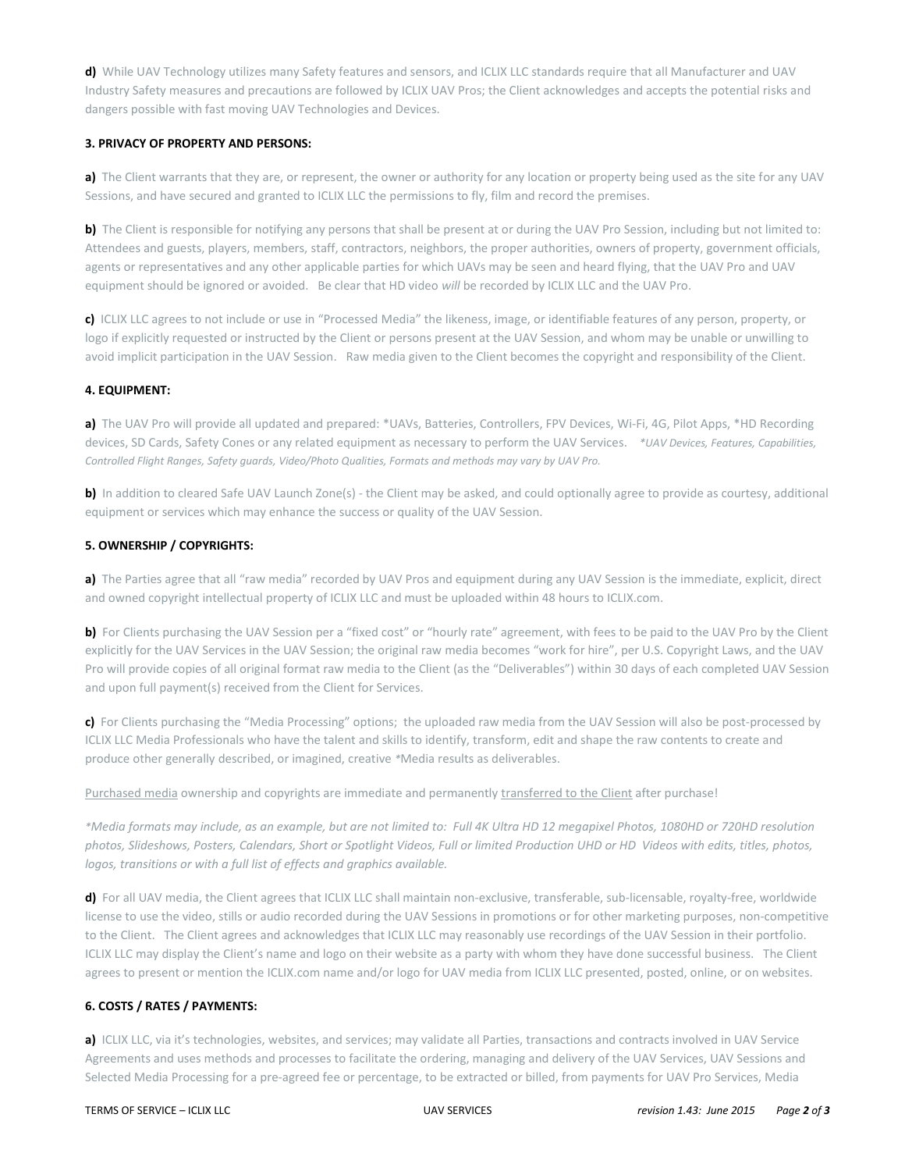**d)** While UAV Technology utilizes many Safety features and sensors, and ICLIX LLC standards require that all Manufacturer and UAV Industry Safety measures and precautions are followed by ICLIX UAV Pros; the Client acknowledges and accepts the potential risks and dangers possible with fast moving UAV Technologies and Devices.

## **3. PRIVACY OF PROPERTY AND PERSONS:**

**a)** The Client warrants that they are, or represent, the owner or authority for any location or property being used as the site for any UAV Sessions, and have secured and granted to ICLIX LLC the permissions to fly, film and record the premises.

**b)** The Client is responsible for notifying any persons that shall be present at or during the UAV Pro Session, including but not limited to: Attendees and guests, players, members, staff, contractors, neighbors, the proper authorities, owners of property, government officials, agents or representatives and any other applicable parties for which UAVs may be seen and heard flying, that the UAV Pro and UAV equipment should be ignored or avoided. Be clear that HD video *will* be recorded by ICLIX LLC and the UAV Pro.

**c)** ICLIX LLC agrees to not include or use in "Processed Media" the likeness, image, or identifiable features of any person, property, or logo if explicitly requested or instructed by the Client or persons present at the UAV Session, and whom may be unable or unwilling to avoid implicit participation in the UAV Session. Raw media given to the Client becomes the copyright and responsibility of the Client.

### **4. EQUIPMENT:**

**a)** The UAV Pro will provide all updated and prepared: \*UAVs, Batteries, Controllers, FPV Devices, Wi-Fi, 4G, Pilot Apps, \*HD Recording devices, SD Cards, Safety Cones or any related equipment as necessary to perform the UAV Services. *\*UAV Devices, Features, Capabilities, Controlled Flight Ranges, Safety guards, Video/Photo Qualities, Formats and methods may vary by UAV Pro.* 

**b)** In addition to cleared Safe UAV Launch Zone(s) - the Client may be asked, and could optionally agree to provide as courtesy, additional equipment or services which may enhance the success or quality of the UAV Session.

## **5. OWNERSHIP / COPYRIGHTS:**

**a)** The Parties agree that all "raw media" recorded by UAV Pros and equipment during any UAV Session is the immediate, explicit, direct and owned copyright intellectual property of ICLIX LLC and must be uploaded within 48 hours to ICLIX.com.

**b)** For Clients purchasing the UAV Session per a "fixed cost" or "hourly rate" agreement, with fees to be paid to the UAV Pro by the Client explicitly for the UAV Services in the UAV Session; the original raw media becomes "work for hire", per U.S. Copyright Laws, and the UAV Pro will provide copies of all original format raw media to the Client (as the "Deliverables") within 30 days of each completed UAV Session and upon full payment(s) received from the Client for Services.

**c)** For Clients purchasing the "Media Processing" options; the uploaded raw media from the UAV Session will also be post-processed by ICLIX LLC Media Professionals who have the talent and skills to identify, transform, edit and shape the raw contents to create and produce other generally described, or imagined, creative *\**Media results as deliverables.

Purchased media ownership and copyrights are immediate and permanently transferred to the Client after purchase!

*\*Media formats may include, as an example, but are not limited to: Full 4K Ultra HD 12 megapixel Photos, 1080HD or 720HD resolution photos, Slideshows, Posters, Calendars, Short or Spotlight Videos, Full or limited Production UHD or HD Videos with edits, titles, photos, logos, transitions or with a full list of effects and graphics available.*

**d)** For all UAV media, the Client agrees that ICLIX LLC shall maintain non-exclusive, transferable, sub-licensable, royalty-free, worldwide license to use the video, stills or audio recorded during the UAV Sessions in promotions or for other marketing purposes, non-competitive to the Client. The Client agrees and acknowledges that ICLIX LLC may reasonably use recordings of the UAV Session in their portfolio. ICLIX LLC may display the Client's name and logo on their website as a party with whom they have done successful business. The Client agrees to present or mention the ICLIX.com name and/or logo for UAV media from ICLIX LLC presented, posted, online, or on websites.

#### **6. COSTS / RATES / PAYMENTS:**

**a)** ICLIX LLC, via it's technologies, websites, and services; may validate all Parties, transactions and contracts involved in UAV Service Agreements and uses methods and processes to facilitate the ordering, managing and delivery of the UAV Services, UAV Sessions and Selected Media Processing for a pre-agreed fee or percentage, to be extracted or billed, from payments for UAV Pro Services, Media